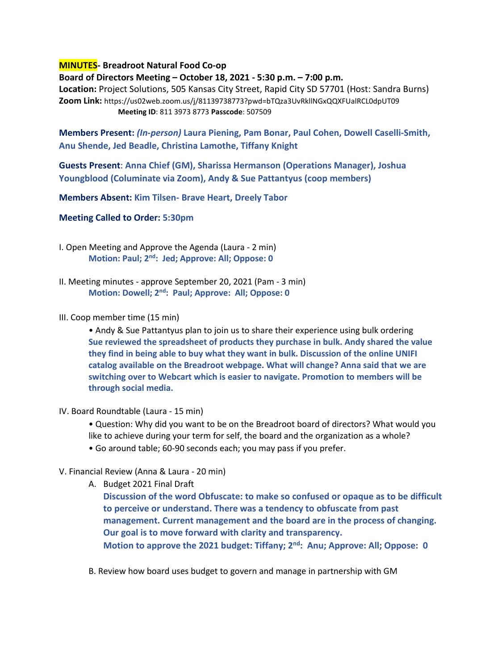## **MINUTES- Breadroot Natural Food Co-op**

**Board of Directors Meeting – October 18, 2021 - 5:30 p.m. – 7:00 p.m.** 

**Location:** Project Solutions, 505 Kansas City Street, Rapid City SD 57701 (Host: Sandra Burns) **Zoom Link:** https://us02web.zoom.us/j/81139738773?pwd=bTQza3UvRkllNGxQQXFUalRCL0dpUT09 **Meeting ID**: 811 3973 8773 **Passcode**: 507509

**Members Present:** *(In-person)* **Laura Piening, Pam Bonar, Paul Cohen, Dowell Caselli-Smith, Anu Shende, Jed Beadle, Christina Lamothe, Tiffany Knight**

**Guests Present**: **Anna Chief (GM), Sharissa Hermanson (Operations Manager), Joshua Youngblood (Columinate via Zoom), Andy & Sue Pattantyus (coop members)**

**Members Absent: Kim Tilsen- Brave Heart, Dreely Tabor** 

**Meeting Called to Order: 5:30pm**

- I. Open Meeting and Approve the Agenda (Laura 2 min) **Motion: Paul; 2nd: Jed; Approve: All; Oppose: 0**
- II. Meeting minutes approve September 20, 2021 (Pam 3 min) **Motion: Dowell; 2nd: Paul; Approve: All; Oppose: 0**
- III. Coop member time (15 min)

• Andy & Sue Pattantyus plan to join us to share their experience using bulk ordering **Sue reviewed the spreadsheet of products they purchase in bulk. Andy shared the value they find in being able to buy what they want in bulk. Discussion of the online UNIFI catalog available on the Breadroot webpage. What will change? Anna said that we are switching over to Webcart which is easier to navigate. Promotion to members will be through social media.**

IV. Board Roundtable (Laura - 15 min)

• Question: Why did you want to be on the Breadroot board of directors? What would you like to achieve during your term for self, the board and the organization as a whole?

- Go around table; 60-90 seconds each; you may pass if you prefer.
- V. Financial Review (Anna & Laura 20 min)
	- A. Budget 2021 Final Draft

**Discussion of the word Obfuscate: to make so confused or opaque as to be difficult to perceive or understand. There was a tendency to obfuscate from past management. Current management and the board are in the process of changing. Our goal is to move forward with clarity and transparency. Motion to approve the 2021 budget: Tiffany; 2nd: Anu; Approve: All; Oppose: 0**

B. Review how board uses budget to govern and manage in partnership with GM